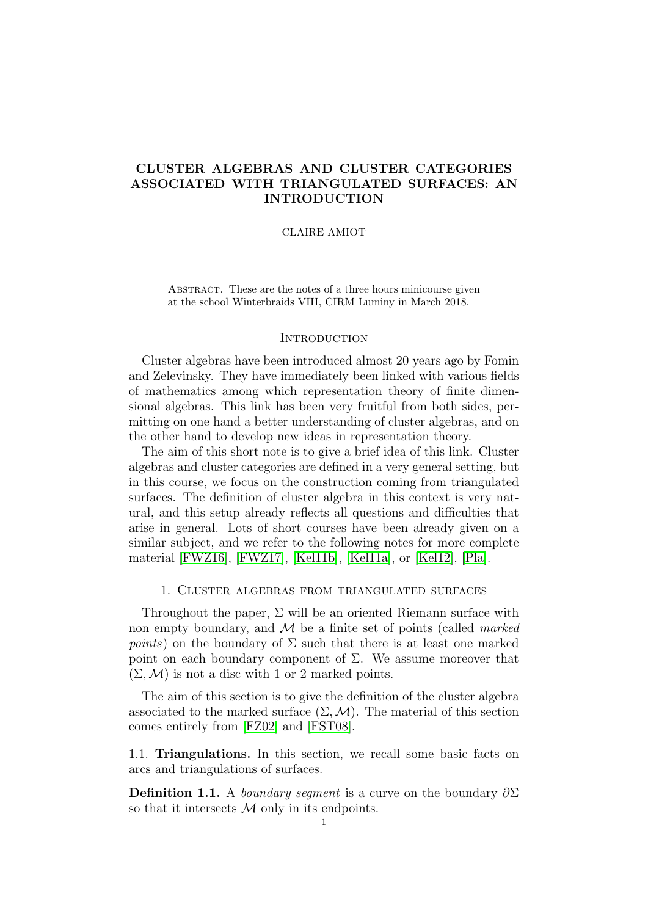# <span id="page-0-0"></span>CLUSTER ALGEBRAS AND CLUSTER CATEGORIES ASSOCIATED WITH TRIANGULATED SURFACES: AN INTRODUCTION

## CLAIRE AMIOT

ABSTRACT. These are the notes of a three hours minicourse given at the school Winterbraids VIII, CIRM Luminy in March 2018.

## **INTRODUCTION**

Cluster algebras have been introduced almost 20 years ago by Fomin and Zelevinsky. They have immediately been linked with various fields of mathematics among which representation theory of finite dimensional algebras. This link has been very fruitful from both sides, permitting on one hand a better understanding of cluster algebras, and on the other hand to develop new ideas in representation theory.

The aim of this short note is to give a brief idea of this link. Cluster algebras and cluster categories are defined in a very general setting, but in this course, we focus on the construction coming from triangulated surfaces. The definition of cluster algebra in this context is very natural, and this setup already reflects all questions and difficulties that arise in general. Lots of short courses have been already given on a similar subject, and we refer to the following notes for more complete material [\[FWZ16\]](#page-16-0), [\[FWZ17\]](#page-16-1), [\[Kel11b\]](#page-16-2), [\[Kel11a\]](#page-16-3), or [\[Kel12\]](#page-16-4), [\[Pla\]](#page-17-0).

## 1. Cluster algebras from triangulated surfaces

Throughout the paper,  $\Sigma$  will be an oriented Riemann surface with non empty boundary, and  $\mathcal M$  be a finite set of points (called *marked points*) on the boundary of  $\Sigma$  such that there is at least one marked point on each boundary component of Σ. We assume moreover that  $(\Sigma, \mathcal{M})$  is not a disc with 1 or 2 marked points.

The aim of this section is to give the definition of the cluster algebra associated to the marked surface  $(\Sigma, \mathcal{M})$ . The material of this section comes entirely from [\[FZ02\]](#page-16-5) and [\[FST08\]](#page-15-0).

1.1. Triangulations. In this section, we recall some basic facts on arcs and triangulations of surfaces.

**Definition 1.1.** A *boundary segment* is a curve on the boundary  $\partial \Sigma$ so that it intersects  $\mathcal M$  only in its endpoints.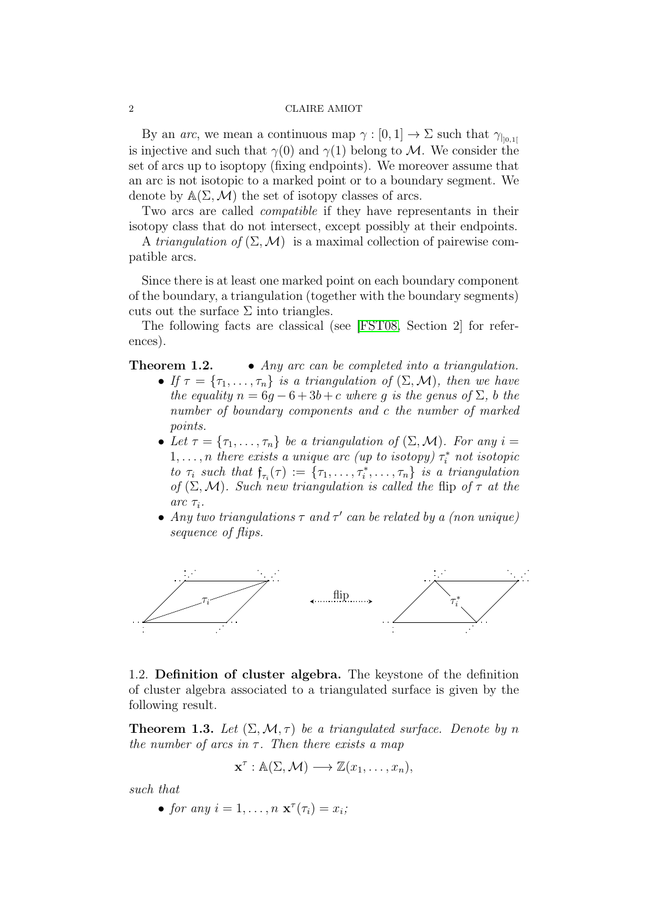By an *arc*, we mean a continuous map  $\gamma : [0, 1] \to \Sigma$  such that  $\gamma_{\parallel_{0.1}[}$ is injective and such that  $\gamma(0)$  and  $\gamma(1)$  belong to M. We consider the set of arcs up to isoptopy (fixing endpoints). We moreover assume that an arc is not isotopic to a marked point or to a boundary segment. We denote by  $\mathbb{A}(\Sigma, \mathcal{M})$  the set of isotopy classes of arcs.

Two arcs are called *compatible* if they have representants in their isotopy class that do not intersect, except possibly at their endpoints.

A triangulation of  $(\Sigma, \mathcal{M})$  is a maximal collection of pairewise compatible arcs.

Since there is at least one marked point on each boundary component of the boundary, a triangulation (together with the boundary segments) cuts out the surface  $\Sigma$  into triangles.

The following facts are classical (see [\[FST08,](#page-15-0) Section 2] for references).

**Theorem 1.2.** • Any arc can be completed into a triangulation.

- If  $\tau = {\tau_1, \ldots, \tau_n}$  is a triangulation of  $(\Sigma, \mathcal{M})$ , then we have the equality  $n = 6g - 6 + 3b + c$  where g is the genus of  $\Sigma$ , b the number of boundary components and c the number of marked points.
- Let  $\tau = {\tau_1, \ldots, \tau_n}$  be a triangulation of  $(\Sigma, \mathcal{M})$ . For any  $i =$  $1, \ldots, n$  there exists a unique arc (up to isotopy)  $\tau_i^*$  not isotopic to  $\tau_i$  such that  $\mathfrak{f}_{\tau_i}(\tau) := \{\tau_1, \ldots, \tau_i^*, \ldots, \tau_n\}$  is a triangulation of  $(\Sigma, \mathcal{M})$ . Such new triangulation is called the flip of  $\tau$  at the  $arc \tau_i$ .
- Any two triangulations  $\tau$  and  $\tau'$  can be related by a (non unique) sequence of flips.



1.2. Definition of cluster algebra. The keystone of the definition of cluster algebra associated to a triangulated surface is given by the following result.

<span id="page-1-0"></span>**Theorem 1.3.** Let  $(\Sigma, \mathcal{M}, \tau)$  be a triangulated surface. Denote by n the number of arcs in  $\tau$ . Then there exists a map

$$
\mathbf{x}^{\tau}:\mathbb{A}(\Sigma,\mathcal{M})\longrightarrow\mathbb{Z}(x_1,\ldots,x_n),
$$

such that

• for any  $i = 1, \ldots, n \mathbf{x}^{\tau}(\tau_i) = x_i;$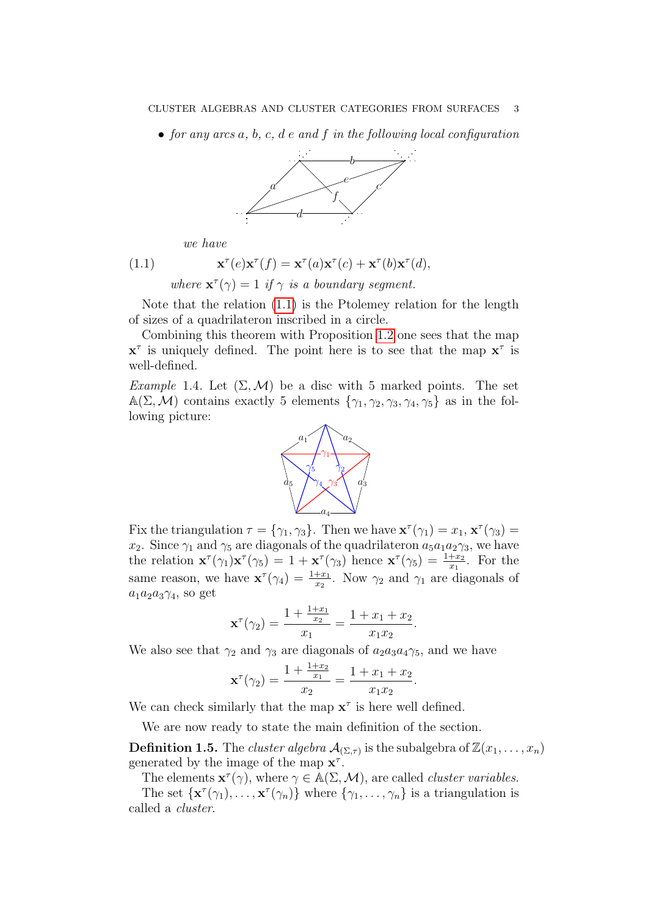• for any arcs  $a, b, c, d$  e and  $f$  in the following local configuration



<span id="page-2-0"></span>we have

 $(1.1)$  $\mathbf{\tau}^{\tau}(e)\mathbf{x}^{\tau}(f) = \mathbf{x}^{\tau}(a)\mathbf{x}^{\tau}(c) + \mathbf{x}^{\tau}(b)\mathbf{x}^{\tau}(d),$ where  $\mathbf{x}^{\tau}(\gamma) = 1$  if  $\gamma$  is a boundary segment.

Note that the relation [\(1.1\)](#page-2-0) is the Ptolemey relation for the length of sizes of a quadrilateron inscribed in a circle.

Combining this theorem with Proposition 1.[2](#page-0-0) one sees that the map  $x^{\tau}$  is uniquely defined. The point here is to see that the map  $x^{\tau}$  is well-defined.

<span id="page-2-1"></span>Example 1.4. Let  $(\Sigma, \mathcal{M})$  be a disc with 5 marked points. The set  $A(\Sigma, \mathcal{M})$  contains exactly 5 elements  $\{\gamma_1, \gamma_2, \gamma_3, \gamma_4, \gamma_5\}$  as in the following picture:



Fix the triangulation  $\tau = {\gamma_1, \gamma_3}$ . Then we have  $\mathbf{x}^\tau(\gamma_1) = x_1, \mathbf{x}^\tau(\gamma_3) =$  $x_2$ . Since  $\gamma_1$  and  $\gamma_5$  are diagonals of the quadrilateron  $a_5a_1a_2\gamma_3$ , we have the relation  $\mathbf{x}^{\tau}(\gamma_1)\mathbf{x}^{\tau}(\gamma_5) = 1 + \mathbf{x}^{\tau}(\gamma_3)$  hence  $\mathbf{x}^{\tau}(\gamma_5) = \frac{1+x_2}{x_1}$ . For the same reason, we have  $\mathbf{x}^{\tau}(\gamma_4) = \frac{1+x_1}{x_2}$ . Now  $\gamma_2$  and  $\gamma_1$  are diagonals of  $a_1a_2a_3\gamma_4$ , so get

$$
\mathbf{x}^{\tau}(\gamma_2) = \frac{1 + \frac{1 + x_1}{x_2}}{x_1} = \frac{1 + x_1 + x_2}{x_1 x_2}.
$$

We also see that  $\gamma_2$  and  $\gamma_3$  are diagonals of  $a_2a_3a_4\gamma_5$ , and we have

$$
\mathbf{x}^{\tau}(\gamma_2) = \frac{1 + \frac{1 + x_2}{x_1}}{x_2} = \frac{1 + x_1 + x_2}{x_1 x_2}.
$$

We can check similarly that the map  $x^{\tau}$  is here well defined.

We are now ready to state the main definition of the section.

**Definition 1.5.** The *cluster algebra*  $\mathcal{A}_{(\Sigma,\tau)}$  is the subalgebra of  $\mathbb{Z}(x_1,\ldots,x_n)$ generated by the image of the map  $\mathbf{x}^{\tau}$ .

The elements  $\mathbf{x}^{\tau}(\gamma)$ , where  $\gamma \in \mathbb{A}(\Sigma, \mathcal{M})$ , are called *cluster variables*.

The set  $\{x^{\tau}(\gamma_1), \ldots, x^{\tau}(\gamma_n)\}\$  where  $\{\gamma_1, \ldots, \gamma_n\}$  is a triangulation is called a cluster.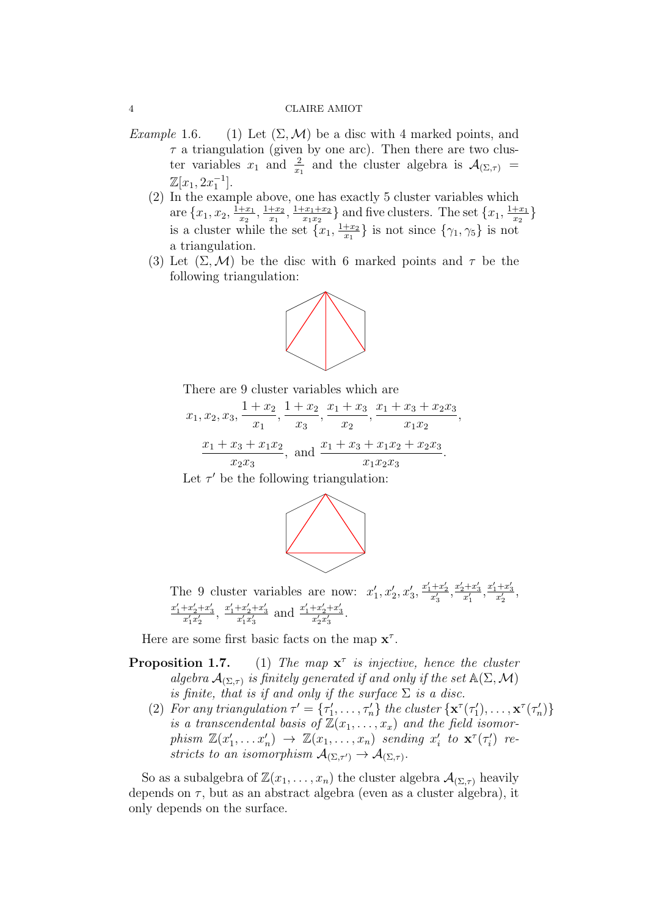- Example 1.6. (1) Let  $(\Sigma, \mathcal{M})$  be a disc with 4 marked points, and  $\tau$  a triangulation (given by one arc). Then there are two cluster variables  $x_1$  and  $\frac{2}{x_1}$  and the cluster algebra is  $\mathcal{A}_{(\Sigma,\tau)}$  =  $\mathbb{Z}[x_1, 2x_1^{-1}].$ 
	- (2) In the example above, one has exactly 5 cluster variables which are  $\{x_1, x_2, \frac{1+x_1}{x_2}\}$  $\frac{+x_1}{x_2}, \frac{1+x_2}{x_1}$  $\frac{+x_2}{x_1}, \frac{1+x_1+x_2}{x_1x_2}$  $\frac{x_1+x_2}{x_1x_2}$  and five clusters. The set  $\{x_1, \frac{1+x_1}{x_2}\}$  $\frac{+x_1}{x_2}\}$ is a cluster while the set  $\{x_1, \frac{1+x_2}{x_1}\}$  $\frac{+x_2}{x_1}$  is not since  $\{\gamma_1, \gamma_5\}$  is not a triangulation.
	- (3) Let  $(\Sigma, \mathcal{M})$  be the disc with 6 marked points and  $\tau$  be the following triangulation:



There are 9 cluster variables which are

 $x_1, x_2, x_3,$  $1 + x_2$  $\overline{x}_1$  $, \frac{1 + x_2}{ }$  $\overline{x_3}$  $, \frac{x_1 + x_3}{x_1 + x_2}$  $\overline{x_2}$  $, \frac{x_1 + x_3 + x_2x_3}{x_1 + x_2}$  $x_1x_2$ ,  $x_1 + x_3 + x_1x_2$  $x_2x_3$ , and  $\frac{x_1 + x_3 + x_1x_2 + x_2x_3}{x_1 + x_2 + x_3}$  $x_1x_2x_3$ .

Let  $\tau'$  be the following triangulation:



The 9 cluster variables are now:  $x'_1, x'_2, x'_3, \frac{x'_1+x'_2}{x'_3}, \frac{x'_2+x'_3}{x'_1}, \frac{x'_1+x'_3}{x'_2},$  $\frac{x_1' + x_2' + x_3'}{x_1'x_2'}$ ,  $\frac{x_1' + x_2' + x_3'}{x_1'x_3'}$  and  $\frac{x_1' + x_2' + x_3'}{x_2'x_3'}$ .

Here are some first basic facts on the map  $x^{\tau}$ .

- Proposition 1.7.  $\tau$  is injective, hence the cluster algebra  $\mathcal{A}_{(\Sigma,\tau)}$  is finitely generated if and only if the set  $\mathbb{A}(\Sigma,\mathcal{M})$ is finite, that is if and only if the surface  $\Sigma$  is a disc.
	- (2) For any triangulation  $\tau' = {\tau'_1, \ldots, \tau'_n}$  the cluster  $\{ \mathbf{x}^\tau(\tau'_1), \ldots, \mathbf{x}^\tau(\tau'_n) \}$ is a transcendental basis of  $\mathbb{Z}(x_1, \ldots, x_x)$  and the field isomorphism  $\mathbb{Z}(x'_1,\ldots,x'_n) \to \mathbb{Z}(x_1,\ldots,x_n)$  sending  $x'_i$  to  $\mathbf{x}^{\tau}(\tau'_i)$  restricts to an isomorphism  $\mathcal{A}_{(\Sigma,\tau')} \to \mathcal{A}_{(\Sigma,\tau)}$ .

So as a subalgebra of  $\mathbb{Z}(x_1, \ldots, x_n)$  the cluster algebra  $\mathcal{A}_{(\Sigma,\tau)}$  heavily depends on  $\tau$ , but as an abstract algebra (even as a cluster algebra), it only depends on the surface.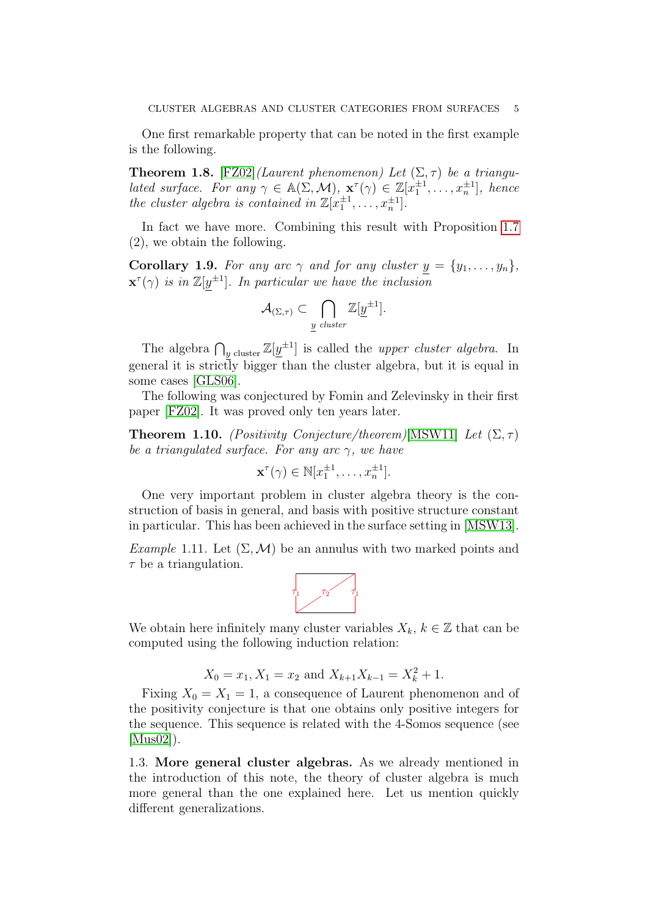One first remarkable property that can be noted in the first example is the following.

**Theorem 1.8.** [\[FZ02\]](#page-16-5)(Laurent phenomenon) Let  $(\Sigma, \tau)$  be a triangulated surface. For any  $\gamma \in A(\Sigma, \mathcal{M}), \mathbf{x}^{\tau}(\gamma) \in \mathbb{Z}[x_1^{\pm 1}, \ldots, x_n^{\pm 1}],$  hence the cluster algebra is contained in  $\mathbb{Z}[x_1^{\pm 1}, \ldots, x_n^{\pm 1}].$ 

In fact we have more. Combining this result with Proposition [1.7](#page-0-0) (2), we obtain the following.

**Corollary 1.9.** For any arc  $\gamma$  and for any cluster  $y = \{y_1, \ldots, y_n\}$ ,  $\mathbf{x}^{\tau}(\gamma)$  is in  $\mathbb{Z}[y^{\pm 1}]$ . In particular we have the inclusion

$$
\mathcal{A}_{(\Sigma,\tau)} \subset \bigcap_{y \text{ cluster}} \mathbb{Z}[\underline{y}^{\pm 1}].
$$

The algebra  $\bigcap_{y \text{ cluster}} \mathbb{Z}[\underline{y}^{\pm 1}]$  is called the *upper cluster algebra*. In general it is strictly bigger than the cluster algebra, but it is equal in some cases [\[GLS06\]](#page-16-6).

The following was conjectured by Fomin and Zelevinsky in their first paper [\[FZ02\]](#page-16-5). It was proved only ten years later.

**Theorem 1.10.** (Positivity Conjecture/theorem)[\[MSW11\]](#page-16-7) Let  $(\Sigma, \tau)$ be a triangulated surface. For any arc  $\gamma$ , we have

$$
\mathbf{x}^{\tau}(\gamma) \in \mathbb{N}[x_1^{\pm 1}, \dots, x_n^{\pm 1}].
$$

One very important problem in cluster algebra theory is the construction of basis in general, and basis with positive structure constant in particular. This has been achieved in the surface setting in [\[MSW13\]](#page-16-8).

<span id="page-4-0"></span>Example 1.11. Let  $(\Sigma, \mathcal{M})$  be an annulus with two marked points and  $\tau$  be a triangulation.



We obtain here infinitely many cluster variables  $X_k, k \in \mathbb{Z}$  that can be computed using the following induction relation:

$$
X_0 = x_1, X_1 = x_2
$$
 and  $X_{k+1}X_{k-1} = X_k^2 + 1$ .

Fixing  $X_0 = X_1 = 1$ , a consequence of Laurent phenomenon and of the positivity conjecture is that one obtains only positive integers for the sequence. This sequence is related with the 4-Somos sequence (see [\[Mus02\]](#page-16-9)).

1.3. More general cluster algebras. As we already mentioned in the introduction of this note, the theory of cluster algebra is much more general than the one explained here. Let us mention quickly different generalizations.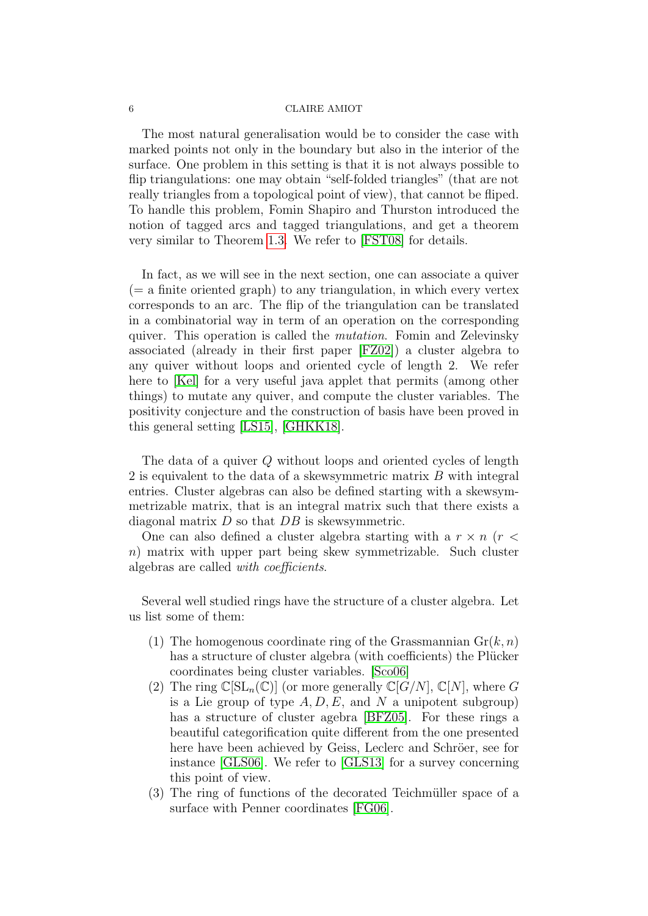The most natural generalisation would be to consider the case with marked points not only in the boundary but also in the interior of the surface. One problem in this setting is that it is not always possible to flip triangulations: one may obtain "self-folded triangles" (that are not really triangles from a topological point of view), that cannot be fliped. To handle this problem, Fomin Shapiro and Thurston introduced the notion of tagged arcs and tagged triangulations, and get a theorem very similar to Theorem [1.3.](#page-1-0) We refer to [\[FST08\]](#page-15-0) for details.

In fact, as we will see in the next section, one can associate a quiver  $(= a$  finite oriented graph) to any triangulation, in which every vertex corresponds to an arc. The flip of the triangulation can be translated in a combinatorial way in term of an operation on the corresponding quiver. This operation is called the mutation. Fomin and Zelevinsky associated (already in their first paper [\[FZ02\]](#page-16-5)) a cluster algebra to any quiver without loops and oriented cycle of length 2. We refer here to [\[Kel\]](#page-16-10) for a very useful java applet that permits (among other things) to mutate any quiver, and compute the cluster variables. The positivity conjecture and the construction of basis have been proved in this general setting [\[LS15\]](#page-16-11), [\[GHKK18\]](#page-16-12).

The data of a quiver Q without loops and oriented cycles of length 2 is equivalent to the data of a skewsymmetric matrix B with integral entries. Cluster algebras can also be defined starting with a skewsymmetrizable matrix, that is an integral matrix such that there exists a diagonal matrix  $D$  so that  $DB$  is skewsymmetric.

One can also defined a cluster algebra starting with a  $r \times n$  ( $r <$ n) matrix with upper part being skew symmetrizable. Such cluster algebras are called with coefficients.

Several well studied rings have the structure of a cluster algebra. Let us list some of them:

- (1) The homogenous coordinate ring of the Grassmannian  $\mathrm{Gr}(k,n)$ has a structure of cluster algebra (with coefficients) the Plücker coordinates being cluster variables. [\[Sco06\]](#page-17-1)
- (2) The ring  $\mathbb{C}[SL_n(\mathbb{C})]$  (or more generally  $\mathbb{C}[G/N]$ ,  $\mathbb{C}[N]$ , where G is a Lie group of type  $A, D, E$ , and N a unipotent subgroup) has a structure of cluster agebra [\[BFZ05\]](#page-15-1). For these rings a beautiful categorification quite different from the one presented here have been achieved by Geiss, Leclerc and Schröer, see for instance [\[GLS06\]](#page-16-6). We refer to [\[GLS13\]](#page-16-13) for a survey concerning this point of view.
- $(3)$  The ring of functions of the decorated Teichmüller space of a surface with Penner coordinates [\[FG06\]](#page-15-2).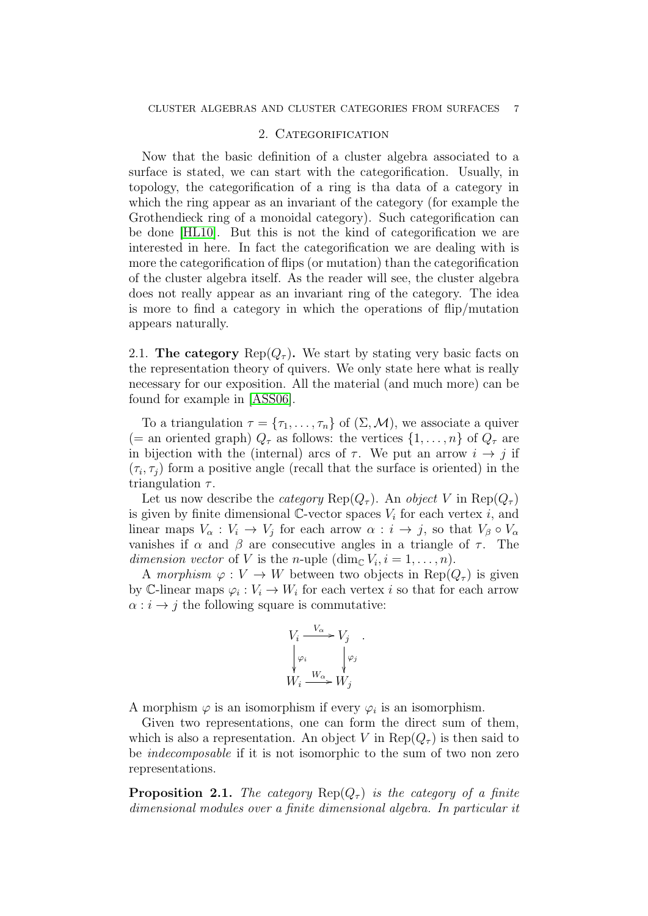## 2. CATEGORIFICATION

Now that the basic definition of a cluster algebra associated to a surface is stated, we can start with the categorification. Usually, in topology, the categorification of a ring is tha data of a category in which the ring appear as an invariant of the category (for example the Grothendieck ring of a monoidal category). Such categorification can be done [\[HL10\]](#page-16-14). But this is not the kind of categorification we are interested in here. In fact the categorification we are dealing with is more the categorification of flips (or mutation) than the categorification of the cluster algebra itself. As the reader will see, the cluster algebra does not really appear as an invariant ring of the category. The idea is more to find a category in which the operations of flip/mutation appears naturally.

2.1. The category  $\text{Rep}(Q_\tau)$ . We start by stating very basic facts on the representation theory of quivers. We only state here what is really necessary for our exposition. All the material (and much more) can be found for example in [\[ASS06\]](#page-15-3).

To a triangulation  $\tau = {\tau_1, \ldots, \tau_n}$  of  $(\Sigma, \mathcal{M})$ , we associate a quiver (= an oriented graph)  $Q_{\tau}$  as follows: the vertices  $\{1, \ldots, n\}$  of  $Q_{\tau}$  are in bijection with the (internal) arcs of  $\tau$ . We put an arrow  $i \to j$  if  $(\tau_i, \tau_j)$  form a positive angle (recall that the surface is oriented) in the triangulation  $\tau$ .

Let us now describe the *category* Rep( $Q_{\tau}$ ). An *object* V in Rep( $Q_{\tau}$ ) is given by finite dimensional  $\check{\mathbb{C}}$ -vector spaces  $V_i$  for each vertex i, and linear maps  $V_{\alpha}: V_i \to V_j$  for each arrow  $\alpha: i \to j$ , so that  $V_{\beta} \circ V_{\alpha}$ vanishes if  $\alpha$  and  $\beta$  are consecutive angles in a triangle of  $\tau$ . The dimension vector of V is the n-uple  $(\dim_{\mathbb{C}} V_i, i = 1, \ldots, n)$ .

A morphism  $\varphi: V \to W$  between two objects in  $\text{Rep}(Q_{\tau})$  is given by C-linear maps  $\varphi_i: V_i \to W_i$  for each vertex i so that for each arrow  $\alpha : i \rightarrow j$  the following square is commutative:

$$
V_i \xrightarrow{V_\alpha} V_j
$$
  
\n
$$
\begin{array}{ccc}\n\downarrow \varphi_i & \downarrow \varphi_j \\
W_i \xrightarrow{W_\alpha} W_j\n\end{array}
$$

A morphism  $\varphi$  is an isomorphism if every  $\varphi_i$  is an isomorphism.

Given two representations, one can form the direct sum of them, which is also a representation. An object V in  $\text{Rep}(Q_\tau)$  is then said to be *indecomposable* if it is not isomorphic to the sum of two non zero representations.

**Proposition 2.1.** The category  $\text{Rep}(Q_\tau)$  is the category of a finite dimensional modules over a finite dimensional algebra. In particular it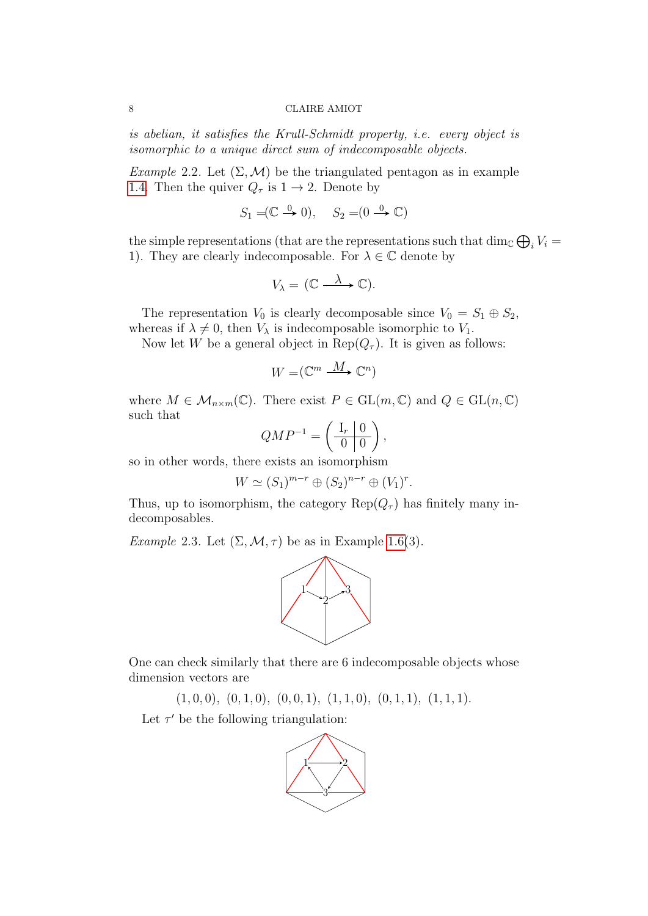is abelian, it satisfies the Krull-Schmidt property, i.e. every object is isomorphic to a unique direct sum of indecomposable objects.

Example 2.2. Let  $(\Sigma, \mathcal{M})$  be the triangulated pentagon as in example [1.4.](#page-2-1) Then the quiver  $Q_{\tau}$  is  $1 \rightarrow 2$ . Denote by

$$
S_1 = (\mathbb{C} \stackrel{0}{\to} 0), \quad S_2 = (0 \stackrel{0}{\to} \mathbb{C})
$$

the simple representations (that are the representations such that  $\dim_{\mathbb{C}} \bigoplus_i V_i =$ 1). They are clearly indecomposable. For  $\lambda \in \mathbb{C}$  denote by

$$
V_{\lambda} = (\mathbb{C} \xrightarrow{\lambda} \mathbb{C}).
$$

The representation  $V_0$  is clearly decomposable since  $V_0 = S_1 \oplus S_2$ , whereas if  $\lambda \neq 0$ , then  $V_{\lambda}$  is indecomposable isomorphic to  $V_1$ .

Now let W be a general object in  $\text{Rep}(Q_\tau)$ . It is given as follows:

$$
W = (\mathbb{C}^m \xrightarrow{M} \mathbb{C}^n)
$$

where  $M \in \mathcal{M}_{n \times m}(\mathbb{C})$ . There exist  $P \in GL(m, \mathbb{C})$  and  $Q \in GL(n, \mathbb{C})$ such that

$$
QMP^{-1} = \left(\begin{array}{c|c} I_r & 0 \\ \hline 0 & 0 \end{array}\right),
$$

so in other words, there exists an isomorphism

$$
W \simeq (S_1)^{m-r} \oplus (S_2)^{n-r} \oplus (V_1)^r.
$$

Thus, up to isomorphism, the category  $\text{Rep}(Q_\tau)$  has finitely many indecomposables.

Example 2.3. Let  $(\Sigma, \mathcal{M}, \tau)$  be as in Example [1.6\(](#page-0-0)3).



One can check similarly that there are 6 indecomposable objects whose dimension vectors are

 $(1, 0, 0), (0, 1, 0), (0, 0, 1), (1, 1, 0), (0, 1, 1), (1, 1, 1).$ 

Let  $\tau'$  be the following triangulation:

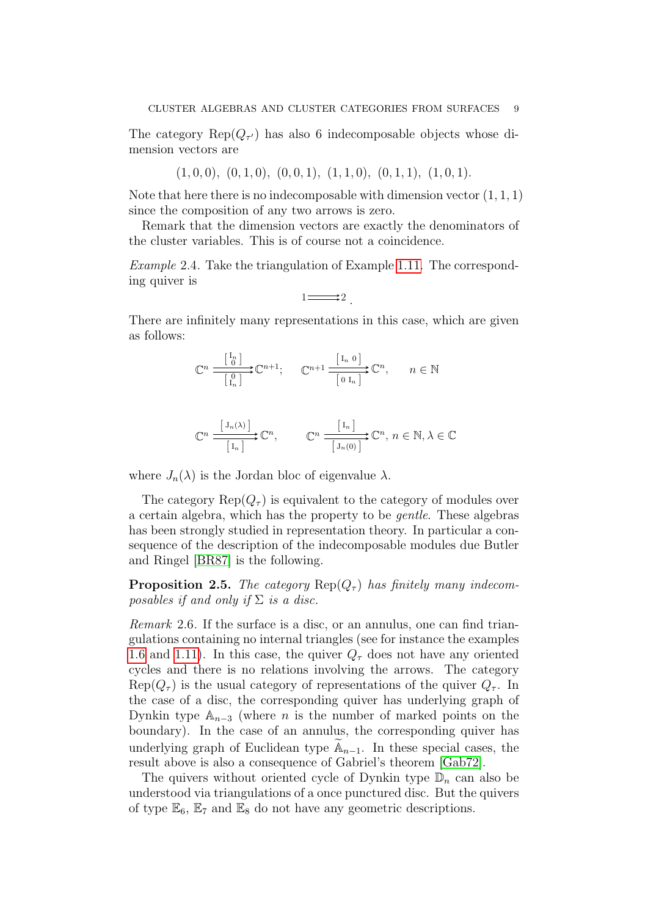The category  $\text{Rep}(Q_{\tau'})$  has also 6 indecomposable objects whose dimension vectors are

$$
(1,0,0), (0,1,0), (0,0,1), (1,1,0), (0,1,1), (1,0,1).
$$

Note that here there is no indecomposable with dimension vector  $(1, 1, 1)$ since the composition of any two arrows is zero.

Remark that the dimension vectors are exactly the denominators of the cluster variables. This is of course not a coincidence.

Example 2.4. Take the triangulation of Example [1.11.](#page-4-0) The corresponding quiver is

$$
1 \longrightarrow 2.
$$

There are infinitely many representations in this case, which are given as follows:

$$
\mathbb{C}^n \xrightarrow{\begin{bmatrix} \mathbf{I}_n \\ \mathbf{0} \end{bmatrix}} \mathbb{C}^{n+1}; \quad \mathbb{C}^{n+1} \xrightarrow{\begin{bmatrix} \mathbf{I}_n & \mathbf{0} \end{bmatrix}} \mathbb{C}^n, \quad n \in \mathbb{N}
$$

$$
\mathbb{C}^n \xrightarrow{\begin{bmatrix} J_n(\lambda) \end{bmatrix}} \mathbb{C}^n, \qquad \mathbb{C}^n \xrightarrow{\begin{bmatrix} I_n \end{bmatrix}} \mathbb{C}^n, n \in \mathbb{N}, \lambda \in \mathbb{C}
$$

where  $J_n(\lambda)$  is the Jordan bloc of eigenvalue  $\lambda$ .

The category  $\text{Rep}(Q_\tau)$  is equivalent to the category of modules over a certain algebra, which has the property to be gentle. These algebras has been strongly studied in representation theory. In particular a consequence of the description of the indecomposable modules due Butler and Ringel [\[BR87\]](#page-15-4) is the following.

**Proposition 2.5.** The category  $\text{Rep}(Q_\tau)$  has finitely many indecomposables if and only if  $\Sigma$  is a disc.

Remark 2.6. If the surface is a disc, or an annulus, one can find triangulations containing no internal triangles (see for instance the examples [1.6](#page-0-0) and [1.11\)](#page-4-0). In this case, the quiver  $Q_{\tau}$  does not have any oriented cycles and there is no relations involving the arrows. The category  $\text{Rep}(Q_{\tau})$  is the usual category of representations of the quiver  $Q_{\tau}$ . In the case of a disc, the corresponding quiver has underlying graph of Dynkin type  $\mathbb{A}_{n-3}$  (where *n* is the number of marked points on the boundary). In the case of an annulus, the corresponding quiver has underlying graph of Euclidean type  $\mathbb{A}_{n-1}$ . In these special cases, the result above is also a consequence of Gabriel's theorem [\[Gab72\]](#page-16-15).

The quivers without oriented cycle of Dynkin type  $\mathbb{D}_n$  can also be understood via triangulations of a once punctured disc. But the quivers of type  $\mathbb{E}_6$ ,  $\mathbb{E}_7$  and  $\mathbb{E}_8$  do not have any geometric descriptions.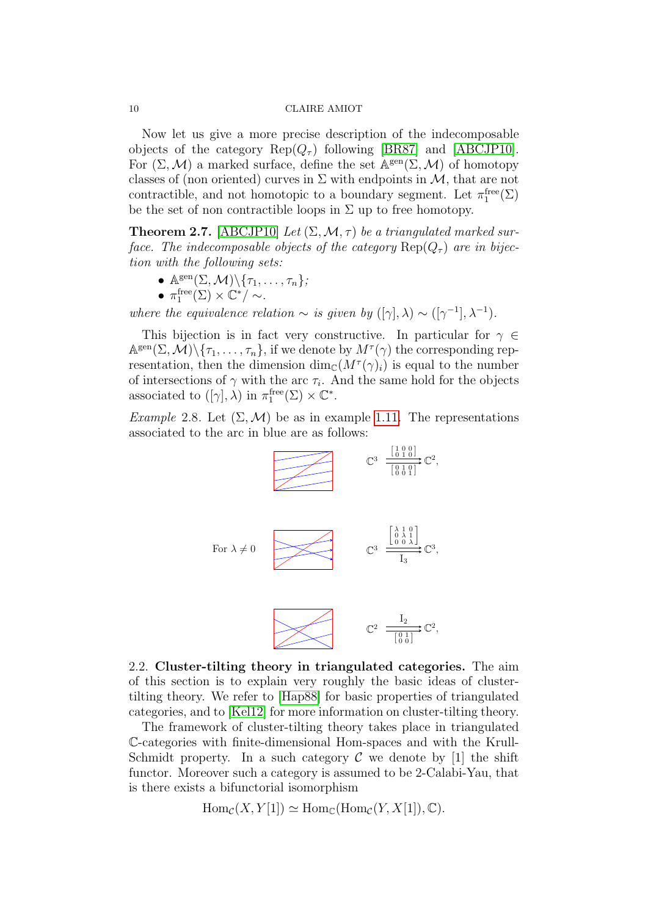Now let us give a more precise description of the indecomposable objects of the category  $\text{Rep}(Q_\tau)$  following [\[BR87\]](#page-15-4) and [\[ABCJP10\]](#page-15-5). For  $(\Sigma, \mathcal{M})$  a marked surface, define the set  $\mathbb{A}^{\text{gen}}(\Sigma, \mathcal{M})$  of homotopy classes of (non oriented) curves in  $\Sigma$  with endpoints in  $\mathcal{M}$ , that are not contractible, and not homotopic to a boundary segment. Let  $\pi_1^{\text{free}}(\Sigma)$ be the set of non contractible loops in  $\Sigma$  up to free homotopy.

**Theorem 2.7.** [\[ABCJP10\]](#page-15-5) Let  $(\Sigma, \mathcal{M}, \tau)$  be a triangulated marked surface. The indecomposable objects of the category  $\text{Rep}(Q_\tau)$  are in bijection with the following sets:

- $\mathbb{A}^{\text{gen}}(\Sigma, \mathcal{M}) \backslash {\{\tau_1, \ldots, \tau_n\}}$
- $\pi_1^{\text{free}}(\Sigma) \times \mathbb{C}^*/ \sim$ .

where the equivalence relation  $\sim$  is given by  $([\gamma], \lambda) \sim ([\gamma^{-1}], \lambda^{-1}).$ 

This bijection is in fact very constructive. In particular for  $\gamma \in$  $\mathbb{A}^{\text{gen}}(\Sigma, \mathcal{M}) \setminus {\tau_1, \ldots, \tau_n}$ , if we denote by  $M^{\tau}(\gamma)$  the corresponding representation, then the dimension  $\dim_{\mathbb{C}}(M^{\tau}(\gamma)_i)$  is equal to the number of intersections of  $\gamma$  with the arc  $\tau_i$ . And the same hold for the objects associated to  $([\gamma], \lambda)$  in  $\pi_1^{\text{free}}(\Sigma) \times \mathbb{C}^*$ .

*Example* 2.8. Let  $(\Sigma, \mathcal{M})$  be as in example [1.11.](#page-4-0) The representations associated to the arc in blue are as follows:



2.2. Cluster-tilting theory in triangulated categories. The aim of this section is to explain very roughly the basic ideas of clustertilting theory. We refer to [\[Hap88\]](#page-16-16) for basic properties of triangulated categories, and to [\[Kel12\]](#page-16-4) for more information on cluster-tilting theory.

The framework of cluster-tilting theory takes place in triangulated C-categories with finite-dimensional Hom-spaces and with the Krull-Schmidt property. In a such category  $\mathcal C$  we denote by [1] the shift functor. Moreover such a category is assumed to be 2-Calabi-Yau, that is there exists a bifunctorial isomorphism

$$
Hom_{\mathcal{C}}(X, Y[1]) \simeq Hom_{\mathbb{C}}(\text{Hom}_{\mathcal{C}}(Y, X[1]), \mathbb{C}).
$$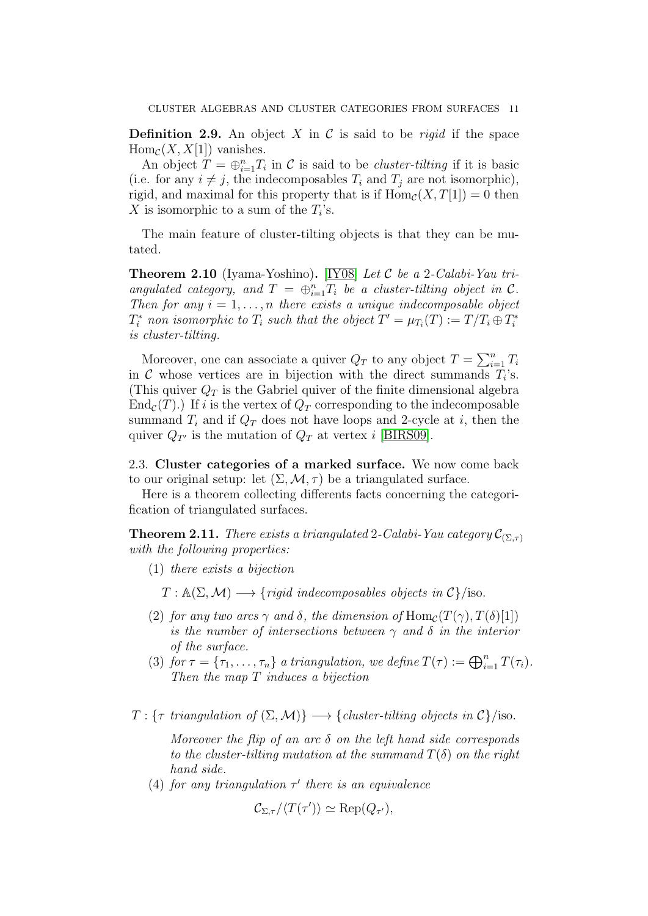**Definition 2.9.** An object X in C is said to be *rigid* if the space  $\text{Hom}_{\mathcal{C}}(X, X[1])$  vanishes.

An object  $T = \bigoplus_{i=1}^n T_i$  in C is said to be *cluster-tilting* if it is basic (i.e. for any  $i \neq j$ , the indecomposables  $T_i$  and  $T_j$  are not isomorphic), rigid, and maximal for this property that is if  $\text{Hom}_{\mathcal{C}}(X, T[1]) = 0$  then X is isomorphic to a sum of the  $T_i$ 's.

The main feature of cluster-tilting objects is that they can be mutated.

**Theorem 2.10** (Iyama-Yoshino). [\[IY08\]](#page-16-17) Let C be a 2-Calabi-Yau triangulated category, and  $T = \bigoplus_{i=1}^{n} T_i$  be a cluster-tilting object in C. Then for any  $i = 1, \ldots, n$  there exists a unique indecomposable object  $T_i^*$  non isomorphic to  $T_i$  such that the object  $T' = \mu_{T_i}(T) := T/T_i \oplus T_i^*$ is cluster-tilting.

Moreover, one can associate a quiver  $Q_T$  to any object  $T = \sum_{i=1}^n T_i$ in C whose vertices are in bijection with the direct summands  $T_i$ 's. (This quiver  $Q_T$  is the Gabriel quiver of the finite dimensional algebra  $\text{End}_{\mathcal{C}}(T)$ .) If i is the vertex of  $Q_T$  corresponding to the indecomposable summand  $T_i$  and if  $Q_T$  does not have loops and 2-cycle at i, then the quiver  $Q_{T'}$  is the mutation of  $Q_T$  at vertex i [\[BIRS09\]](#page-15-6).

2.3. Cluster categories of a marked surface. We now come back to our original setup: let  $(\Sigma, \mathcal{M}, \tau)$  be a triangulated surface.

Here is a theorem collecting differents facts concerning the categorification of triangulated surfaces.

<span id="page-10-0"></span>**Theorem 2.11.** There exists a triangulated 2-Calabi-Yau category  $\mathcal{C}_{(\Sigma,\tau)}$ with the following properties:

(1) there exists a bijection

 $T : \mathbb{A}(\Sigma, \mathcal{M}) \longrightarrow \{ \text{rigid indecomposable objects in } \mathcal{C} \} / \text{iso.}$ 

- (2) for any two arcs  $\gamma$  and  $\delta$ , the dimension of  $\text{Hom}_{\mathcal{C}}(T(\gamma), T(\delta)[1])$ is the number of intersections between  $\gamma$  and  $\delta$  in the interior of the surface.
- (3) for  $\tau = {\tau_1, ..., \tau_n}$  a triangulation, we define  $T(\tau) := \bigoplus_{i=1}^n T(\tau_i)$ . Then the map T induces a bijection

 $T: \{\tau \, triangulation \, of \,(\Sigma, \mathcal{M})\} \longrightarrow \{ \, clustering \, objects \, in \, \mathcal{C} \} / \text{iso}.$ 

Moreover the flip of an arc  $\delta$  on the left hand side corresponds to the cluster-tilting mutation at the summand  $T(\delta)$  on the right hand side.

(4) for any triangulation  $\tau'$  there is an equivalence

$$
\mathcal{C}_{\Sigma,\tau}/\langle T(\tau')\rangle \simeq \mathrm{Rep}(Q_{\tau'}),
$$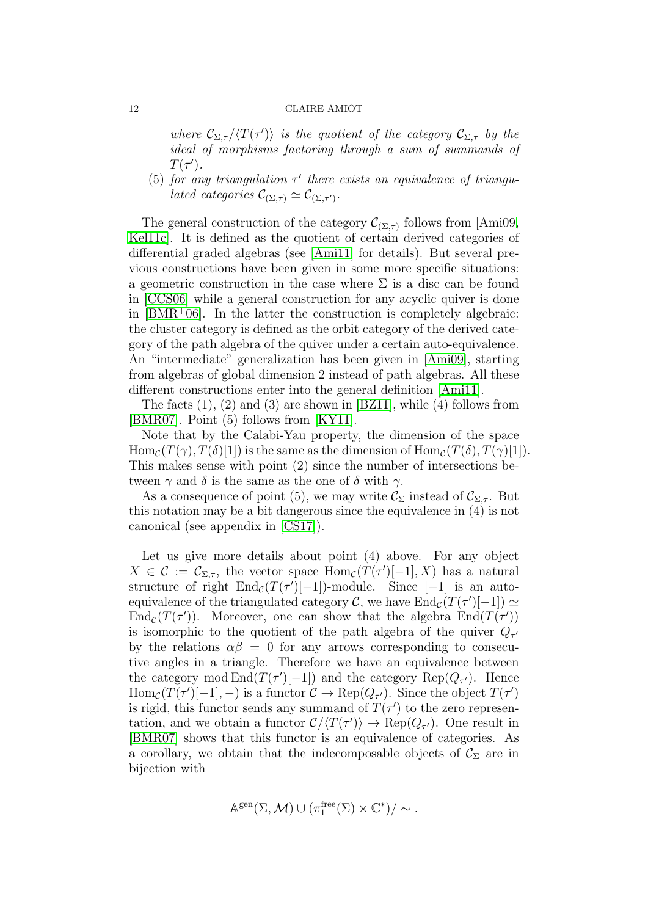where  $\mathcal{C}_{\Sigma,\tau}/\langle T(\tau')\rangle$  is the quotient of the category  $\mathcal{C}_{\Sigma,\tau}$  by the ideal of morphisms factoring through a sum of summands of  $T(\tau').$ 

<span id="page-11-0"></span>(5) for any triangulation  $\tau'$  there exists an equivalence of triangu*lated categories*  $\mathcal{C}_{(\Sigma,\tau)} \simeq \mathcal{C}_{(\Sigma,\tau')}$ .

The general construction of the category  $\mathcal{C}_{(\Sigma,\tau)}$  follows from [\[Ami09,](#page-15-7) [Kel11c\]](#page-16-18). It is defined as the quotient of certain derived categories of differential graded algebras (see [\[Ami11\]](#page-15-8) for details). But several previous constructions have been given in some more specific situations: a geometric construction in the case where  $\Sigma$  is a disc can be found in [\[CCS06\]](#page-15-9) while a general construction for any acyclic quiver is done in  $[BMR<sup>+</sup>06]$  $[BMR<sup>+</sup>06]$ . In the latter the construction is completely algebraic: the cluster category is defined as the orbit category of the derived category of the path algebra of the quiver under a certain auto-equivalence. An "intermediate" generalization has been given in [\[Ami09\]](#page-15-7), starting from algebras of global dimension 2 instead of path algebras. All these different constructions enter into the general definition [\[Ami11\]](#page-15-8).

The facts (1), (2) and (3) are shown in [\[BZ11\]](#page-15-11), while (4) follows from [\[BMR07\]](#page-15-12). Point (5) follows from [\[KY11\]](#page-16-19).

Note that by the Calabi-Yau property, the dimension of the space  $\text{Hom}_{\mathcal{C}}(T(\gamma), T(\delta)[1])$  is the same as the dimension of  $\text{Hom}_{\mathcal{C}}(T(\delta), T(\gamma)[1])$ . This makes sense with point (2) since the number of intersections between  $\gamma$  and  $\delta$  is the same as the one of  $\delta$  with  $\gamma$ .

As a consequence of point (5), we may write  $\mathcal{C}_{\Sigma}$  instead of  $\mathcal{C}_{\Sigma,\tau}$ . But this notation may be a bit dangerous since the equivalence in (4) is not canonical (see appendix in [\[CS17\]](#page-15-13)).

Let us give more details about point (4) above. For any object  $X \in \mathcal{C} := \mathcal{C}_{\Sigma,\tau}$ , the vector space  $\text{Hom}_{\mathcal{C}}(T(\tau')[-1],X)$  has a natural structure of right  $\text{End}_{\mathcal{C}}(T(\tau')[-1])$ -module. Since  $[-1]$  is an autoequivalence of the triangulated category C, we have  $\text{End}_{\mathcal{C}}(T(\tau')[-1]) \simeq$ End<sub>C</sub>(T( $\tau$ )). Moreover, one can show that the algebra End( $T(\tau')$ ) is isomorphic to the quotient of the path algebra of the quiver  $Q_{\tau'}$ by the relations  $\alpha\beta = 0$  for any arrows corresponding to consecutive angles in a triangle. Therefore we have an equivalence between the category mod  $\text{End}(T(\tau')[-1])$  and the category  $\text{Rep}(Q_{\tau'})$ . Hence  $\text{Hom}_{\mathcal{C}}(T(\tau')[-1], -)$  is a functor  $\mathcal{C} \to \text{Rep}(Q_{\tau'})$ . Since the object  $T(\tau')$ is rigid, this functor sends any summand of  $T(\tau')$  to the zero representation, and we obtain a functor  $\mathcal{C} / \langle T(\tau') \rangle \to \text{Rep}(Q_{\tau'})$ . One result in [\[BMR07\]](#page-15-12) shows that this functor is an equivalence of categories. As a corollary, we obtain that the indecomposable objects of  $\mathcal{C}_{\Sigma}$  are in bijection with

$$
\mathbb{A}^{\text{gen}}(\Sigma, \mathcal{M}) \cup (\pi_1^{\text{free}}(\Sigma) \times \mathbb{C}^*)/\sim.
$$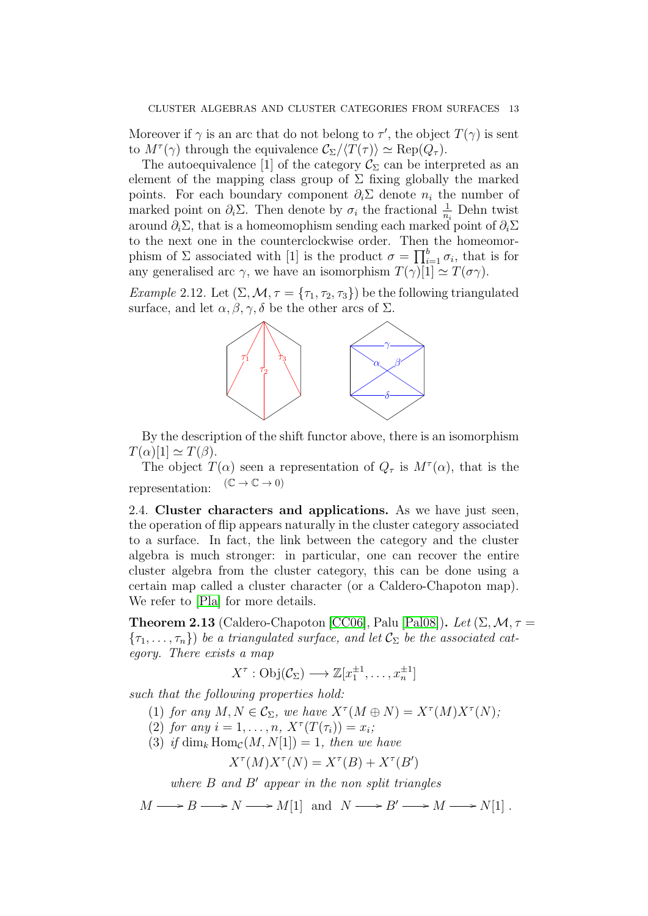Moreover if  $\gamma$  is an arc that do not belong to  $\tau'$ , the object  $T(\gamma)$  is sent to  $M^{\tau}(\gamma)$  through the equivalence  $\mathcal{C}_{\Sigma}/\langle T(\tau) \rangle \simeq \text{Rep}(Q_{\tau}).$ 

The autoequivalence [1] of the category  $\mathcal{C}_{\Sigma}$  can be interpreted as an element of the mapping class group of  $\Sigma$  fixing globally the marked points. For each boundary component  $\partial_i \Sigma$  denote  $n_i$  the number of marked point on  $\partial_i \Sigma$ . Then denote by  $\sigma_i$  the fractional  $\frac{1}{n_i}$  Dehn twist around  $\partial_i \Sigma$ , that is a homeomophism sending each marked point of  $\partial_i \Sigma$ to the next one in the counterclockwise order. Then the homeomorphism of  $\Sigma$  associated with [1] is the product  $\sigma = \prod_{i=1}^{b} \sigma_i$ , that is for any generalised arc  $\gamma$ , we have an isomorphism  $T(\gamma)[1] \simeq T(\sigma \gamma)$ .

<span id="page-12-0"></span>Example 2.12. Let  $(\Sigma, \mathcal{M}, \tau = {\tau_1, \tau_2, \tau_3})$  be the following triangulated surface, and let  $\alpha, \beta, \gamma, \delta$  be the other arcs of  $\Sigma$ .



By the description of the shift functor above, there is an isomorphism  $T(\alpha)[1] \simeq T(\beta).$ 

The object  $T(\alpha)$  seen a representation of  $Q_{\tau}$  is  $M^{\tau}(\alpha)$ , that is the representation:  $(\mathbb{C} \to \mathbb{C} \to 0)$ 

2.4. Cluster characters and applications. As we have just seen, the operation of flip appears naturally in the cluster category associated to a surface. In fact, the link between the category and the cluster algebra is much stronger: in particular, one can recover the entire cluster algebra from the cluster category, this can be done using a certain map called a cluster character (or a Caldero-Chapoton map). We refer to [\[Pla\]](#page-17-0) for more details.

<span id="page-12-1"></span>**Theorem 2.13** (Caldero-Chapoton [\[CC06\]](#page-15-14), Palu [\[Pal08\]](#page-16-20)). Let  $(\Sigma, \mathcal{M}, \tau =$  ${\tau_1, \ldots, \tau_n}$ ) be a triangulated surface, and let  $\mathcal{C}_{\Sigma}$  be the associated category. There exists a map

$$
X^{\tau}: \mathrm{Obj}(\mathcal{C}_{\Sigma}) \longrightarrow \mathbb{Z}[x_1^{\pm 1}, \ldots, x_n^{\pm 1}]
$$

such that the following properties hold:

- (1) for any  $M, N \in \mathcal{C}_{\Sigma}$ , we have  $X^{\tau}(M \oplus N) = X^{\tau}(M)X^{\tau}(N)$ ;
- (2) for any  $i = 1, ..., n$ ,  $X^{\tau}(T(\tau_i)) = x_i$ ;
- (3) if  $\dim_k \text{Hom}_{\mathcal{C}}(M, N[1]) = 1$ , then we have

 $X^{\tau}(M)X^{\tau}(N) = X^{\tau}(B) + X^{\tau}(B')$ 

where  $B$  and  $B'$  appear in the non split triangles

 $M \longrightarrow B \longrightarrow N \longrightarrow M[1] \ \ \mbox{and} \ \ N \longrightarrow B' \longrightarrow M \longrightarrow N[1] \ .$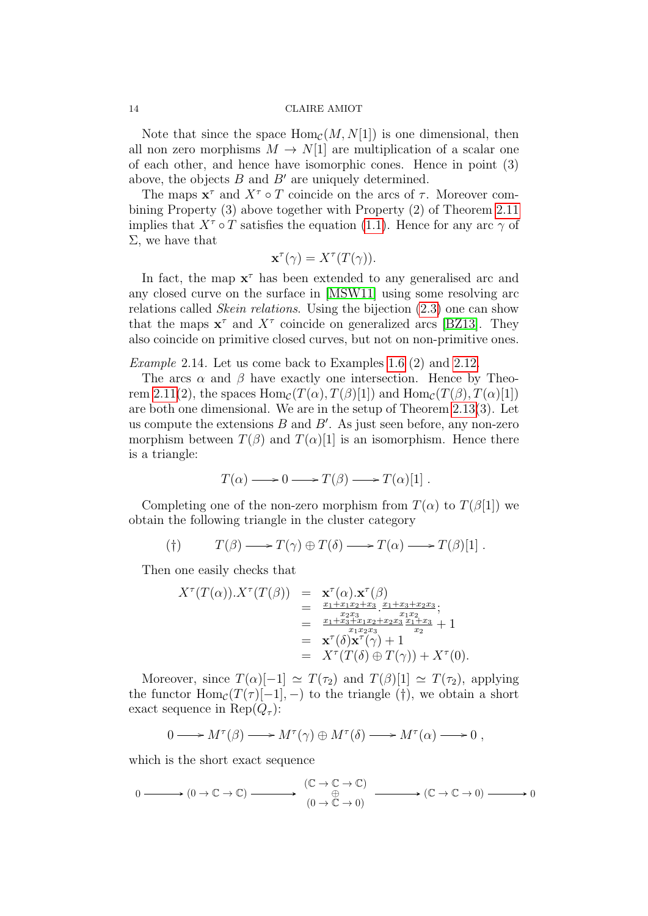Note that since the space  $\text{Hom}_{\mathcal{C}}(M, N[1])$  is one dimensional, then all non zero morphisms  $M \to N[1]$  are multiplication of a scalar one of each other, and hence have isomorphic cones. Hence in point (3) above, the objects  $B$  and  $B'$  are uniquely determined.

The maps  $x^{\tau}$  and  $X^{\tau} \circ T$  coincide on the arcs of  $\tau$ . Moreover combining Property (3) above together with Property (2) of Theorem [2.11](#page-10-0) implies that  $X^{\tau} \circ T$  satisfies the equation [\(1.1\)](#page-2-0). Hence for any arc  $\gamma$  of  $\Sigma$ , we have that

$$
\mathbf{x}^{\tau}(\gamma) = X^{\tau}(T(\gamma)).
$$

In fact, the map  $x^{\tau}$  has been extended to any generalised arc and any closed curve on the surface in [\[MSW11\]](#page-16-7) using some resolving arc relations called *Skein relations*. Using the bijection  $(2.3)$  one can show that the maps  $x^{\tau}$  and  $X^{\tau}$  coincide on generalized arcs [\[BZ13\]](#page-15-15). They also coincide on primitive closed curves, but not on non-primitive ones.

Example 2.14. Let us come back to Examples [1.6](#page-0-0) (2) and [2.12.](#page-12-0)

The arcs  $\alpha$  and  $\beta$  have exactly one intersection. Hence by Theo-rem [2.11\(](#page-10-0)2), the spaces  $\text{Hom}_{\mathcal{C}}(T(\alpha), T(\beta)[1])$  and  $\text{Hom}_{\mathcal{C}}(T(\beta), T(\alpha)[1])$ are both one dimensional. We are in the setup of Theorem [2.13\(](#page-12-1)3). Let us compute the extensions  $B$  and  $B'$ . As just seen before, any non-zero morphism between  $T(\beta)$  and  $T(\alpha)[1]$  is an isomorphism. Hence there is a triangle:

$$
T(\alpha) \longrightarrow 0 \longrightarrow T(\beta) \longrightarrow T(\alpha)[1] .
$$

Completing one of the non-zero morphism from  $T(\alpha)$  to  $T(\beta[1])$  we obtain the following triangle in the cluster category

$$
T(\beta) \longrightarrow T(\gamma) \oplus T(\delta) \longrightarrow T(\alpha) \longrightarrow T(\beta)[1].
$$

Then one easily checks that

$$
X^{\tau}(T(\alpha)).X^{\tau}(T(\beta)) = \mathbf{x}^{\tau}(\alpha).\mathbf{x}^{\tau}(\beta)
$$
  
\n
$$
= \frac{x_1 + x_1x_2 + x_3}{x_1 + x_3 + x_2x_3} \cdot \frac{x_1 + x_3 + x_2x_3}{x_1 + x_2}
$$
  
\n
$$
= \frac{x_1 + x_3 + x_1x_2 + x_2x_3}{x_1 + x_2x_3} \cdot \frac{x_1 + x_3}{x_2} + 1
$$
  
\n
$$
= \mathbf{x}^{\tau}(\delta)\mathbf{x}^{\tau}(\gamma) + 1
$$
  
\n
$$
= X^{\tau}(T(\delta) \oplus T(\gamma)) + X^{\tau}(0).
$$

Moreover, since  $T(\alpha)[-1] \simeq T(\tau_2)$  and  $T(\beta)[1] \simeq T(\tau_2)$ , applying the functor  $\text{Hom}_{\mathcal{C}}(T(\tau)[-1], -)$  to the triangle (†), we obtain a short exact sequence in Rep $(Q_\tau)$ :

$$
0 \longrightarrow M^{\tau}(\beta) \longrightarrow M^{\tau}(\gamma) \oplus M^{\tau}(\delta) \longrightarrow M^{\tau}(\alpha) \longrightarrow 0 ,
$$

which is the short exact sequence

$$
0 \xrightarrow{\hspace{0.5cm}} (0 \to \mathbb{C} \to \mathbb{C}) \xrightarrow{\hspace{0.5cm}} (\mathbb{C} \to \mathbb{C} \to \mathbb{C})
$$
  

$$
\xrightarrow{\hspace{0.5cm}} (0 \to \mathbb{C} \to 0) \xrightarrow{\hspace{0.5cm}} (\mathbb{C} \to \mathbb{C} \to 0) \xrightarrow{\hspace{0.5cm}} 0
$$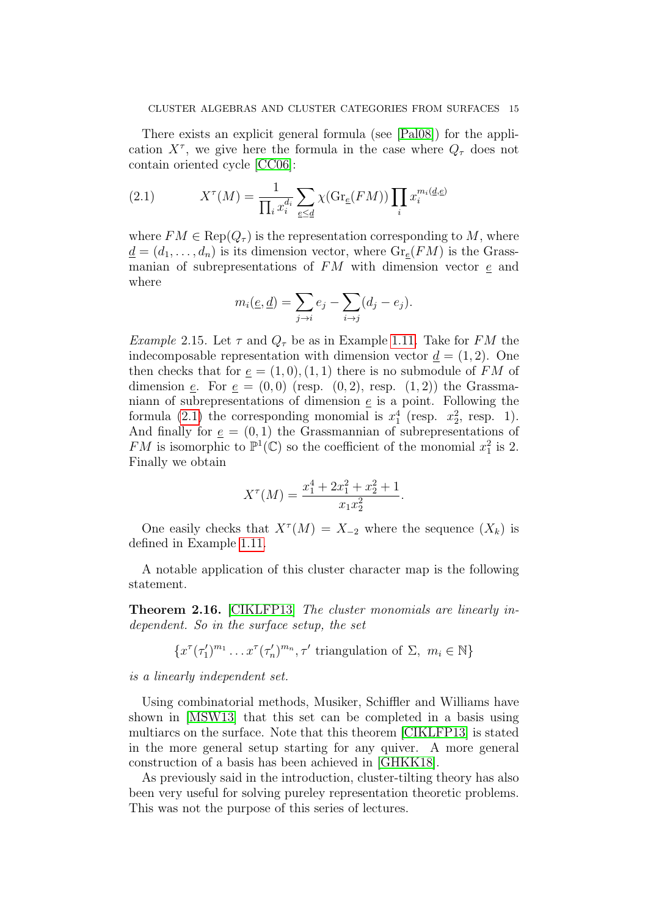There exists an explicit general formula (see [\[Pal08\]](#page-16-20)) for the application  $X^{\tau}$ , we give here the formula in the case where  $Q_{\tau}$  does not contain oriented cycle [\[CC06\]](#page-15-14):

<span id="page-14-0"></span>(2.1) 
$$
X^{\tau}(M) = \frac{1}{\prod_{i} x_i^{d_i}} \sum_{e \le d} \chi(\text{Gr}_{\underline{e}}(FM)) \prod_{i} x_i^{m_i(\underline{d}, \underline{e})}
$$

where  $FM \in \text{Rep}(Q_{\tau})$  is the representation corresponding to M, where  $\underline{d} = (d_1, \ldots, d_n)$  is its dimension vector, where  $\text{Gr}_{e}(FM)$  is the Grassmanian of subrepresentations of  $FM$  with dimension vector  $\epsilon$  and where

$$
m_i(\underline{e}, \underline{d}) = \sum_{j \to i} e_j - \sum_{i \to j} (d_j - e_j).
$$

*Example* 2.15. Let  $\tau$  and  $Q_{\tau}$  be as in Example [1.11.](#page-4-0) Take for FM the indecomposable representation with dimension vector  $d = (1, 2)$ . One then checks that for  $e = (1,0), (1,1)$  there is no submodule of FM of dimension e. For  $e = (0,0)$  (resp.  $(0,2)$ , resp.  $(1,2)$ ) the Grassmaniann of subrepresentations of dimension  $\underline{e}$  is a point. Following the formula [\(2.1\)](#page-14-0) the corresponding monomial is  $x_1^4$  (resp.  $x_2^2$ , resp. 1). And finally for  $e = (0, 1)$  the Grassmannian of subrepresentations of FM is isomorphic to  $\mathbb{P}^1(\mathbb{C})$  so the coefficient of the monomial  $x_1^2$  is 2. Finally we obtain

$$
X^{\tau}(M) = \frac{x_1^4 + 2x_1^2 + x_2^2 + 1}{x_1 x_2^2}.
$$

One easily checks that  $X^{\tau}(M) = X_{-2}$  where the sequence  $(X_k)$  is defined in Example [1.11.](#page-4-0)

A notable application of this cluster character map is the following statement.

Theorem 2.16. [\[CIKLFP13\]](#page-15-16) The cluster monomials are linearly independent. So in the surface setup, the set

$$
\{x^{\tau}(\tau'_1)^{m_1}\dots x^{\tau}(\tau'_n)^{m_n}, \tau' \text{ triangulation of } \Sigma, m_i \in \mathbb{N}\}\
$$

is a linearly independent set.

Using combinatorial methods, Musiker, Schiffler and Williams have shown in [\[MSW13\]](#page-16-8) that this set can be completed in a basis using multiarcs on the surface. Note that this theorem [\[CIKLFP13\]](#page-15-16) is stated in the more general setup starting for any quiver. A more general construction of a basis has been achieved in [\[GHKK18\]](#page-16-12).

As previously said in the introduction, cluster-tilting theory has also been very useful for solving pureley representation theoretic problems. This was not the purpose of this series of lectures.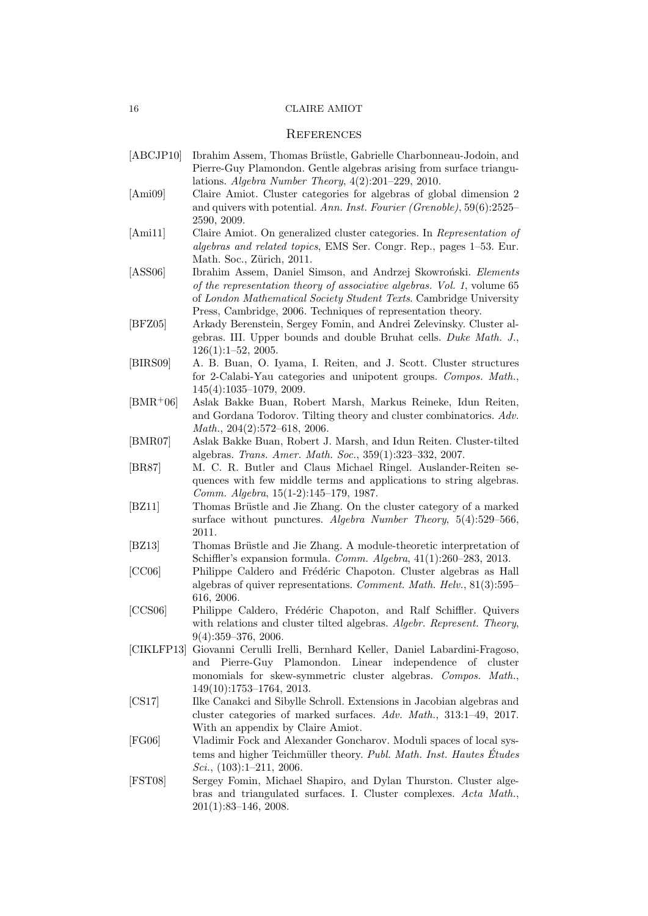## **REFERENCES**

- <span id="page-15-5"></span>[ABCJP10] Ibrahim Assem, Thomas Brüstle, Gabrielle Charbonneau-Jodoin, and Pierre-Guy Plamondon. Gentle algebras arising from surface triangulations. Algebra Number Theory, 4(2):201–229, 2010.
- <span id="page-15-7"></span>[Ami09] Claire Amiot. Cluster categories for algebras of global dimension 2 and quivers with potential. Ann. Inst. Fourier (Grenoble), 59(6):2525– 2590, 2009.
- <span id="page-15-8"></span>[Ami11] Claire Amiot. On generalized cluster categories. In Representation of algebras and related topics, EMS Ser. Congr. Rep., pages 1–53. Eur. Math. Soc., Zürich, 2011.
- <span id="page-15-3"></span>[ASS06] Ibrahim Assem, Daniel Simson, and Andrzej Skowroński. Elements of the representation theory of associative algebras. Vol. 1, volume 65 of London Mathematical Society Student Texts. Cambridge University Press, Cambridge, 2006. Techniques of representation theory.
- <span id="page-15-1"></span>[BFZ05] Arkady Berenstein, Sergey Fomin, and Andrei Zelevinsky. Cluster algebras. III. Upper bounds and double Bruhat cells. Duke Math. J., 126(1):1–52, 2005.
- <span id="page-15-6"></span>[BIRS09] A. B. Buan, O. Iyama, I. Reiten, and J. Scott. Cluster structures for 2-Calabi-Yau categories and unipotent groups. Compos. Math., 145(4):1035–1079, 2009.
- <span id="page-15-10"></span>[BMR+06] Aslak Bakke Buan, Robert Marsh, Markus Reineke, Idun Reiten, and Gordana Todorov. Tilting theory and cluster combinatorics. Adv. Math., 204(2):572–618, 2006.
- <span id="page-15-12"></span>[BMR07] Aslak Bakke Buan, Robert J. Marsh, and Idun Reiten. Cluster-tilted algebras. Trans. Amer. Math. Soc., 359(1):323–332, 2007.
- <span id="page-15-4"></span>[BR87] M. C. R. Butler and Claus Michael Ringel. Auslander-Reiten sequences with few middle terms and applications to string algebras. Comm. Algebra, 15(1-2):145–179, 1987.
- <span id="page-15-11"></span>[BZ11] Thomas Brüstle and Jie Zhang. On the cluster category of a marked surface without punctures. Algebra Number Theory, 5(4):529–566, 2011.
- <span id="page-15-15"></span>[BZ13] Thomas Brüstle and Jie Zhang. A module-theoretic interpretation of Schiffler's expansion formula. Comm. Algebra, 41(1):260–283, 2013.
- <span id="page-15-14"></span>[CC06] Philippe Caldero and Frédéric Chapoton. Cluster algebras as Hall algebras of quiver representations. Comment. Math. Helv., 81(3):595– 616, 2006.
- <span id="page-15-9"></span>[CCS06] Philippe Caldero, Frédéric Chapoton, and Ralf Schiffler. Quivers with relations and cluster tilted algebras. Algebr. Represent. Theory, 9(4):359–376, 2006.
- <span id="page-15-16"></span>[CIKLFP13] Giovanni Cerulli Irelli, Bernhard Keller, Daniel Labardini-Fragoso, and Pierre-Guy Plamondon. Linear independence of cluster monomials for skew-symmetric cluster algebras. Compos. Math., 149(10):1753–1764, 2013.
- <span id="page-15-13"></span>[CS17] Ilke Canakci and Sibylle Schroll. Extensions in Jacobian algebras and cluster categories of marked surfaces. Adv. Math., 313:1–49, 2017. With an appendix by Claire Amiot.
- <span id="page-15-2"></span>[FG06] Vladimir Fock and Alexander Goncharov. Moduli spaces of local systems and higher Teichmüller theory. Publ. Math. Inst. Hautes Études  $Sci.$ , (103):1-211, 2006.
- <span id="page-15-0"></span>[FST08] Sergey Fomin, Michael Shapiro, and Dylan Thurston. Cluster algebras and triangulated surfaces. I. Cluster complexes. Acta Math., 201(1):83–146, 2008.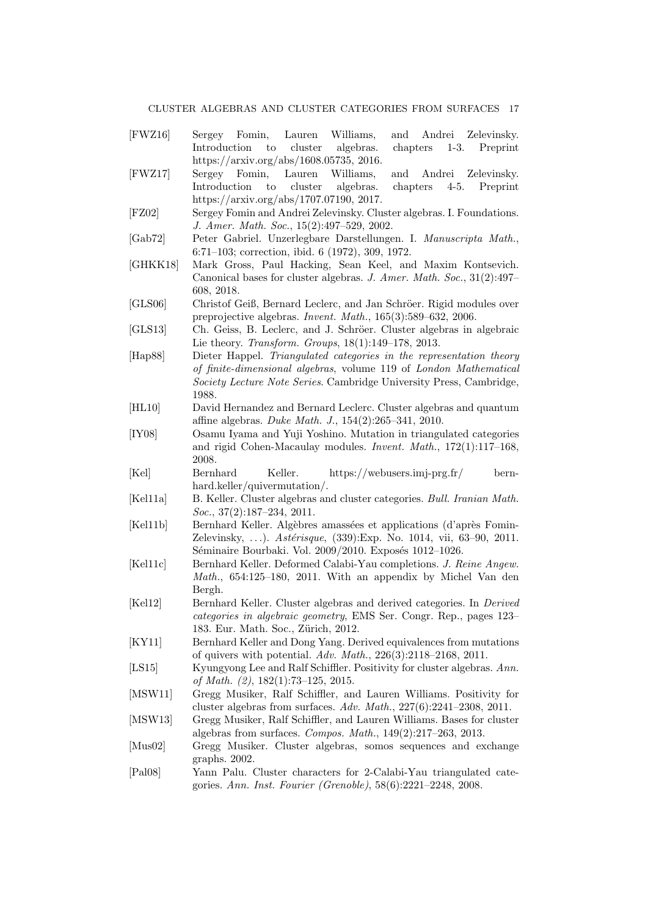#### CLUSTER ALGEBRAS AND CLUSTER CATEGORIES FROM SURFACES

- <span id="page-16-15"></span><span id="page-16-12"></span><span id="page-16-5"></span><span id="page-16-1"></span><span id="page-16-0"></span>[FWZ16] Sergey Fomin, Lauren Williams, and Andrei Zelevinsky. Introduction to cluster algebras. chapters 1-3. Preprint https://arxiv.org/abs/1608.05735, 2016. [FWZ17] Sergey Fomin, Lauren Williams, and Andrei Zelevinsky. Introduction to cluster algebras. chapters 4-5. Preprint https://arxiv.org/abs/1707.07190, 2017. [FZ02] Sergey Fomin and Andrei Zelevinsky. Cluster algebras. I. Foundations. J. Amer. Math. Soc., 15(2):497–529, 2002. [Gab72] Peter Gabriel. Unzerlegbare Darstellungen. I. Manuscripta Math., 6:71–103; correction, ibid. 6 (1972), 309, 1972. [GHKK18] Mark Gross, Paul Hacking, Sean Keel, and Maxim Kontsevich. Canonical bases for cluster algebras. J. Amer. Math. Soc., 31(2):497– 608, 2018. [GLS06] Christof Geiß, Bernard Leclerc, and Jan Schröer. Rigid modules over preprojective algebras. Invent. Math., 165(3):589–632, 2006. [GLS13] Ch. Geiss, B. Leclerc, and J. Schröer. Cluster algebras in algebraic Lie theory. Transform. Groups, 18(1):149–178, 2013. [Hap88] Dieter Happel. Triangulated categories in the representation theory of finite-dimensional algebras, volume 119 of London Mathematical Society Lecture Note Series. Cambridge University Press, Cambridge, 1988. [HL10] David Hernandez and Bernard Leclerc. Cluster algebras and quantum affine algebras. Duke Math. J., 154(2):265–341, 2010. [IY08] Osamu Iyama and Yuji Yoshino. Mutation in triangulated categories
- <span id="page-16-17"></span><span id="page-16-16"></span><span id="page-16-14"></span><span id="page-16-13"></span><span id="page-16-6"></span>and rigid Cohen-Macaulay modules. Invent. Math., 172(1):117–168, 2008.
- <span id="page-16-10"></span>[Kel] Bernhard Keller. https://webusers.imj-prg.fr/ bernhard.keller/quivermutation/.
- <span id="page-16-3"></span>[Kel11a] B. Keller. Cluster algebras and cluster categories. Bull. Iranian Math.  $Soc., 37(2):187-234, 2011.$
- <span id="page-16-2"></span>[Kel11b] Bernhard Keller. Algèbres amassées et applications (d'après Fomin-Zelevinsky, ...). Astérisque, (339): Exp. No. 1014, vii, 63-90, 2011. Séminaire Bourbaki. Vol. 2009/2010. Exposés 1012-1026.
- <span id="page-16-18"></span>[Kel11c] Bernhard Keller. Deformed Calabi-Yau completions. J. Reine Angew. Math., 654:125–180, 2011. With an appendix by Michel Van den Bergh.
- <span id="page-16-4"></span>[Kel12] Bernhard Keller. Cluster algebras and derived categories. In Derived categories in algebraic geometry, EMS Ser. Congr. Rep., pages 123– 183. Eur. Math. Soc., Zürich, 2012.
- <span id="page-16-19"></span>[KY11] Bernhard Keller and Dong Yang. Derived equivalences from mutations of quivers with potential. Adv. Math., 226(3):2118–2168, 2011.
- <span id="page-16-11"></span>[LS15] Kyungyong Lee and Ralf Schiffler. Positivity for cluster algebras. Ann. of Math. (2), 182(1):73–125, 2015.
- <span id="page-16-7"></span>[MSW11] Gregg Musiker, Ralf Schiffler, and Lauren Williams. Positivity for cluster algebras from surfaces. Adv. Math., 227(6):2241–2308, 2011.
- <span id="page-16-8"></span>[MSW13] Gregg Musiker, Ralf Schiffler, and Lauren Williams. Bases for cluster algebras from surfaces. Compos. Math., 149(2):217–263, 2013.
- <span id="page-16-9"></span>[Mus02] Gregg Musiker. Cluster algebras, somos sequences and exchange graphs. 2002.
- <span id="page-16-20"></span>[Pal08] Yann Palu. Cluster characters for 2-Calabi-Yau triangulated categories. Ann. Inst. Fourier (Grenoble), 58(6):2221–2248, 2008.